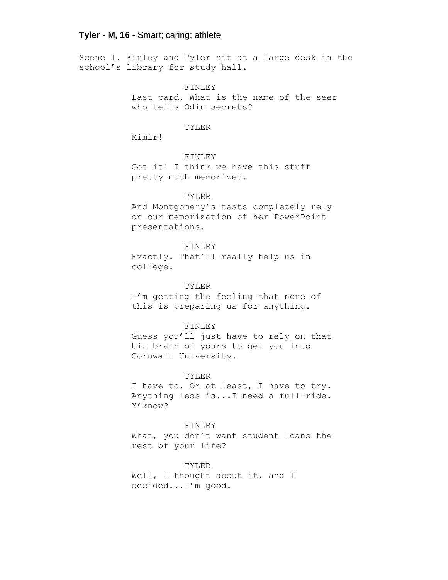Scene 1. Finley and Tyler sit at a large desk in the school's library for study hall.

FINLEY

Last card. What is the name of the seer who tells Odin secrets?

#### TYLER

Mimir!

# FINLEY

Got it! I think we have this stuff pretty much memorized.

#### TYLER

And Montgomery's tests completely rely on our memorization of her PowerPoint presentations.

# FINLEY

Exactly. That'll really help us in college.

### TYLER

I'm getting the feeling that none of this is preparing us for anything.

#### FINLEY

Guess you'll just have to rely on that big brain of yours to get you into Cornwall University.

#### TYLER

I have to. Or at least, I have to try. Anything less is...I need a full-ride. Y'know?

FINLEY What, you don't want student loans the rest of your life?

TYLER Well, I thought about it, and I decided...I'm good.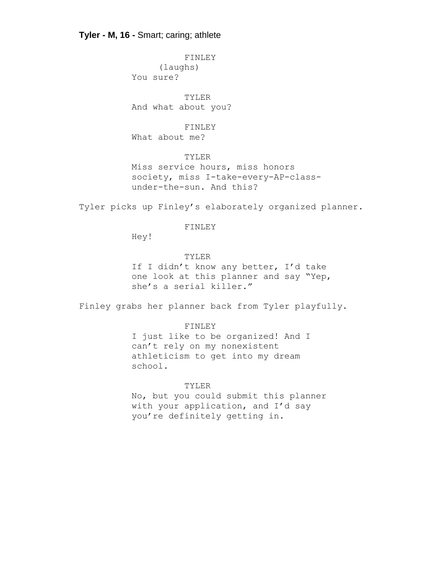FINLEY (laughs) You sure?

TYLER And what about you?

FINLEY

What about me?

TYLER

Miss service hours, miss honors society, miss I-take-every-AP-classunder-the-sun. And this?

Tyler picks up Finley's elaborately organized planner.

#### FINLEY

Hey!

TYLER

If I didn't know any better, I'd take one look at this planner and say "Yep, she's a serial killer."

Finley grabs her planner back from Tyler playfully.

## FINLEY

I just like to be organized! And I can't rely on my nonexistent athleticism to get into my dream school.

### TYLER

No, but you could submit this planner with your application, and I'd say you're definitely getting in.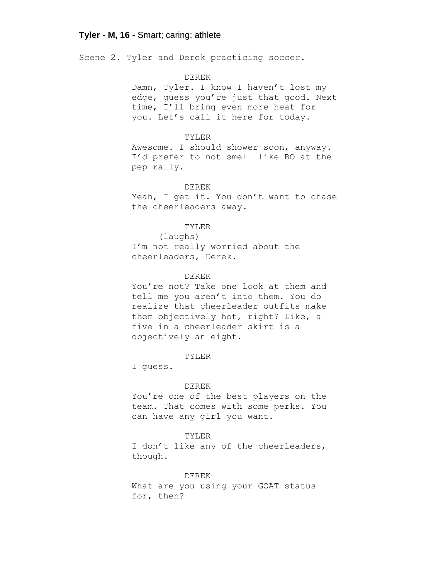Scene 2. Tyler and Derek practicing soccer.

#### DEREK

Damn, Tyler. I know I haven't lost my edge, guess you're just that good. Next time, I'll bring even more heat for you. Let's call it here for today.

# TYLER

Awesome. I should shower soon, anyway. I'd prefer to not smell like BO at the pep rally.

#### DEREK

Yeah, I get it. You don't want to chase the cheerleaders away.

#### TYLER

(laughs) I'm not really worried about the cheerleaders, Derek.

### DEREK

You're not? Take one look at them and tell me you aren't into them. You do realize that cheerleader outfits make them objectively hot, right? Like, a five in a cheerleader skirt is a objectively an eight.

#### TYLER

I guess.

#### DEREK

You're one of the best players on the team. That comes with some perks. You can have any girl you want.

#### TYLER

I don't like any of the cheerleaders, though.

DEREK

What are you using your GOAT status for, then?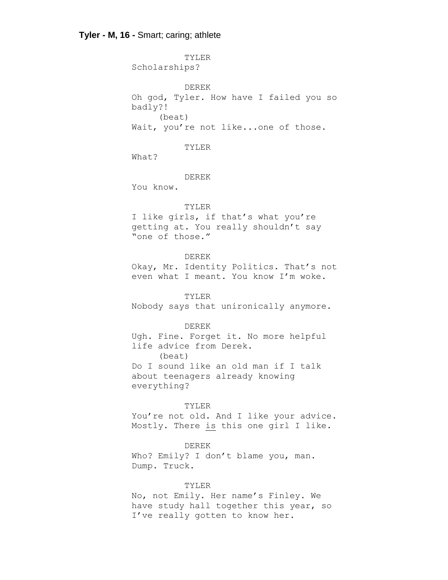TYLER Scholarships? DEREK Oh god, Tyler. How have I failed you so badly?! (beat) Wait, you're not like...one of those. TYLER What? DEREK You know. TYLER I like girls, if that's what you're getting at. You really shouldn't say "one of those." DEREK Okay, Mr. Identity Politics. That's not even what I meant. You know I'm woke. TYLER Nobody says that unironically anymore. DEREK Ugh. Fine. Forget it. No more helpful life advice from Derek. (beat) Do I sound like an old man if I talk about teenagers already knowing everything? TYLER You're not old. And I like your advice. Mostly. There is this one girl I like. DEREK Who? Emily? I don't blame you, man. Dump. Truck.

TYLER

No, not Emily. Her name's Finley. We have study hall together this year, so I've really gotten to know her.